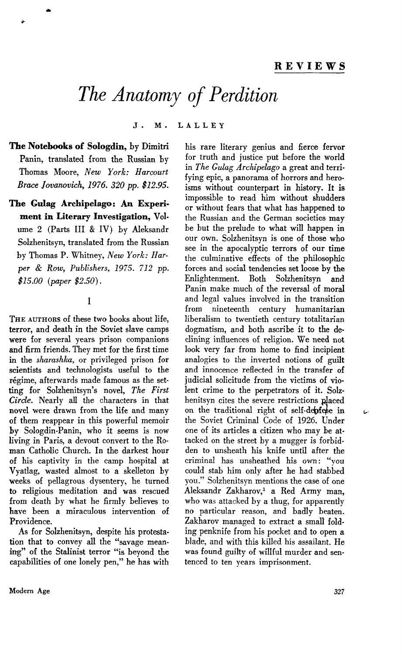# *The Anatomy of Perdition*

J. M. LALLEY

**The Notebooks of Sologdin,** by Dimitri Panin, translated from the Russian by Thomas Moore, *New York: Harcourt Brace Jovanovich, 1976. 320 pp. \$12.95.* 

•

**The Gulag Archipelago: An Experi· ment in Literary Investigation,** Volume 2 (Parts III & IV) by Aleksandr Solzhenitsyn, translated from the Russian by Thomas P. Whitney, *New York: Harper* & *Row, Publishers, 1975. 712 pp. \$15.00 (paper \$2.50).* 

I

THE AUTHORS of these two books about life, terror, and death in the Soviet slave camps were for several years prison companions and firm friends. They met for the first time in the *sharashka,* or privileged prison for scientists and technologists useful to the régime, afterwards made famous as the setting for Solzhenitsyn's novel, *The First Circle.* Nearly all the characters in that novel were drawn from the life and many of them reappear in this powerful memoir by Sologdin-Panin, who it seems is now living in Paris, a devout convert to the Roman Catholic Church. In the darkest hour of his captivity in the camp hospital at Vyatlag, wasted almost to a skelleton by weeks of pellagrous dysentery, he turned to religious meditation and was rescued from death by what he firmly believes to have been a miraculous intervention of Providence.

As for Solzhenitsyn, despite his protesta· tion that to convey all the "savage meaning" of the Stalinist terror "is beyond the capabilities of one lonely pen," he has with

his rare literary genius and fierce fervor for truth and justice put before the world in *The Gulag Archipelago* a great and terrifying epic, a panorama of horrors and hero· isms without counterpart in history. It is impossible to read him without shudders or without fears that what has happened to the Russian and the German societies may be but the prelude to what will happen in our own. Solzhenitsyn is one of those who see in the apocalyptic terrors of our time the culminative effects of the philosophic forces and social tendencies set loose by the Enlightenment. Both Solzhenitsyn and Panin make much of the reversal of moral and legal values involved in the transition from nineteenth century humanitarian liberalism to twentieth century totalitarian dogmatism, and both ascribe it to the de· dining influences of religion. We need not look very far from home to find incipient analogies to the inverted notions of guilt and innocence reflected in the transfer of judicial solicitude from the victims of vio· lent crime to the perpetrators of it. Solz· henitsyn cites the severe restrictions placed on the traditional right of self-debfese in the Soviet Criminal Code of 1926. Under one of its articles a citizen who may be at· tacked on the street by a mugger is forbidden to unsheath his knife until after the criminal has unsheathed his own: "vou could stab him only after he had stabbed you." Solzhenitsyn mentions the case of one Aleksandr Zakharov,<sup>1</sup> a Red Army man, who was attacked by a thug, for apparently no particular reason, and badly beaten. Zakharov managed to extract a small folding penknife from his pocket and to open a blade, and with this killed his assailant. He was found guilty of willful murder and sentenced to ten years imprisonment.

مدا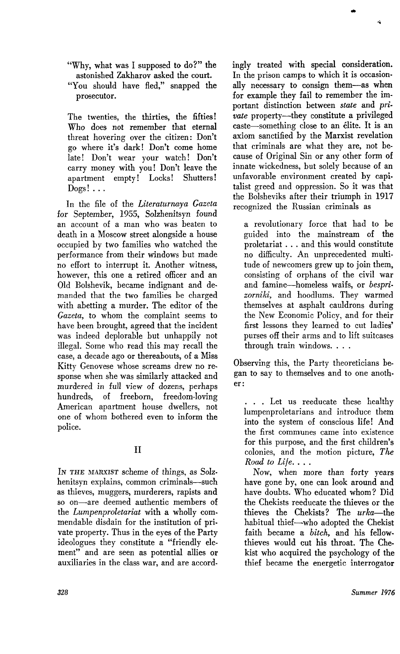- "Why, what was I supposed to do?" the astonished Zakharov asked the court.
- "You should have fled," snapped the prosecutor.

The twenties, the thirties, the fifties! Who does not remember that eternal threat hovering over the citizen: Don't go where it's dark! Don't come home late! Don't wear your watch! Don't carry money with you! Don't leave the apartment empty! Locks! Shutters!  $\log s! \ldots$ 

In the file of the *Literaturnaya Gazeta*  for September, 1955, Solzhenitsyn found an account of a man who was beaten to death in a Moscow street alongside a house occupied by two families who watched the performance from their windows but made no effort to interrupt it. Another witness, however, this one a retired officer and an Old Bolshevik, became indignant and demanded that the two families be charged with abetting a murder. The editor of the *Gazeta,* to whom the complaint seems to have been brought, agreed that the incident was indeed deplorable hut unhappily not illegal. Some who read this may recall the case, a decade ago or thereabouts, of a Miss Kitty Genovese whose screams drew no response when she was similarly attacked and murdered in full view of dozens, perhaps hundreds, of freeborn, freedom-loving American apartment house dwellers, not one of whom bothered even to inform the police.

#### II

IN *THE* MARXIST scheme of things, as Solzhenitsyn explains, common criminals-such as thieves, muggers, murderers, rapists and so on-are deemed authentic members of the *Lumpenproletariat* with a wholly commendable disdain for the institution of private property. Thus in the eyes of the Party ideologues they constitute a "friendly element" and are seen as potential allies or auxiliaries in the class war, and are accordingly treated with special consideration. In the prison camps to which it is occasionally necessary to consign them-as when for example they fail to remember the important distinction between *state* and *pri· vate* property--they constitute a privileged caste-something close to an elite. It is an axiom sanctified by the Marxist revelation that criminals are what they are, not because of Original Sin or any other form of innate wickedness, but solely because of an unfavorable environment created by capi· talist greed and oppression. So it was that the Bolsheviks after their triumph in 1917 recognized the Russian criminals as

a revolutionary force that had to he guided into the mainstream of the proletariat ... and this would constitute no difficulty. An unprecedented multitude of newcomers grew up to join them, consisting of orphans of the civil war and famine-homeless waifs, or *besprizorniki,* and hoodlums. They warmed themselves at asphalt cauldrons during the New Economic Policy, and for their first lessons they learned to cut ladies' purses off their arms and to lift suitcases through train windows. . . .

Observing this, the Party theoreticians began to say to themselves and to one another:

. . Let us reeducate these healthy lumpenproletarians and introduce them into the system of conscious life! And the first communes came into existence for this purpose, and the first children's colonies, and the motion picture, *The Road to Life.* ...

Now, when more than forty years have gone by, one can look around and have doubts. Who educated whom? Did the Chekists reeducate the thieves or the thieves the Chekists? The *urka-the*  habitual thief-who adopted the Chekist faith became a *bitch,* and his fellowthieves would cut his throat. The Chekist who acquired the psychology of the thief became the energetic interrogator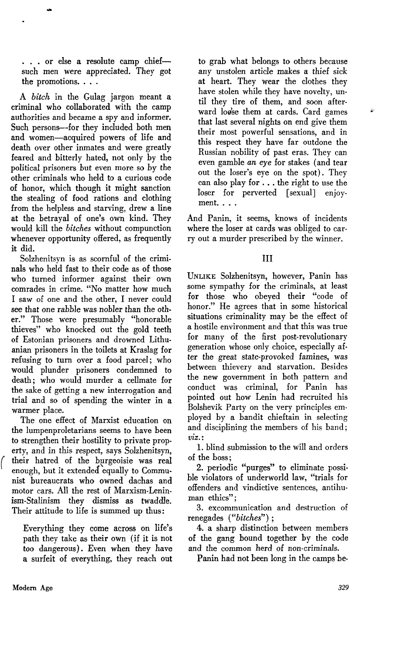... or else a resolute camp chiefsuch men were appreciated. They got the promotions. . . .

...

A *bitch* in the Gulag jargon meant a criminal who collaborated with the camp authorities and became a spy and informer. Such persons-for they included both men and women-acquired powers of life and death over other inmates and were greatly feared and bitterly hated, not only by the political prisoners hut even more so *by* the other criminals who held to a curious code of honor, which though it might sanction the stealing of food rations and clothing from the helpless and starving, drew a line at the betrayal of one's own kind. They would kill the *bitches* without compunction whenever opportunity offered, as frequently it did.

Solzhenitsyn is as scornful of the criminals who held fast to their code as of those who turned informer against their own comrades in crime. "No matter how much I saw of one and the other, I never could see that one rabble was nobler than the other." Those were presumably "honorable thieves" who knocked out the gold teeth of Estonian prisoners and drowned Lithuanian prisoners in the toilets at Kraslag for refusing to turn over a food parcel; who would plunder prisoners condemned to death; who would murder a cellmate for the sake of getting a new interrogation and trial and so of spending the winter in a warmer place.

The one effect of Marxist education on the lumpenproletarians seems to have been to strengthen their hostility to private property, and in this respect, says Solzhenitsyn, their hatred of the burgeoisie was real enough, but it extended equally to Communist bureaucrats who owned dachas and motor cars. All the rest of Marxism-Leninism-Stalinism they dismiss as twaddle. Their attitude to life is summed up thus:

Everything they come across on life's path they take as their own (if it is not too dangerous). Even when they have a surfeit of everything, they reach out to grab what belongs to others because any unstolen article makes a thief sick at heart. They wear the clothes they have stolen while they have novelty, until they tire of them, and soon afterward loose them at cards. Card games that last several nights on end give them their most powerful sensations, and in this respect they have far outdone the Russian nobility of past eras. They can even gamble *an eye* for stakes (and tear out the loser's eye on the spot). They can also play for  $\dots$  the right to use the loser for perverted [sexual] enjoyloser for perverted [sexual] ment. . . .

i

And Panin, it seems, knows of incidents where the loser at cards was obliged to carry out a murder prescribed by the winner.

#### III

UNLIKE Solzhenitsyn, however, Panin has some sympathy for the criminals, at least for those who obeyed their "code of honor." He agrees that in some historical situations criminality may he the effect of a hostile environment and that this was true for many of the first post-revolutionary generation whose only choice, especially after the great state-provoked famines, was between thievery and starvation. Besides the new government in both pattern and conduct was criminal, for Panin has pointed out how Lenin had recruited his Bolshevik Party on the very principles employed by a bandit chieftain in selecting and disciplining the members of his band; *viz.:* 

l. blind submission to the will and orders of the boss;

2. periodic "purges" to eliminate possible violators of underworld law, "trials for offenders and vindictive sentences, antihuman ethics";

3. excommunication and destruction of renegades *("bitches")* ;

4. a sharp distinction between members of the gang bound together by the code and the common herd of non-criminals.

Panin had not been long in the camps be-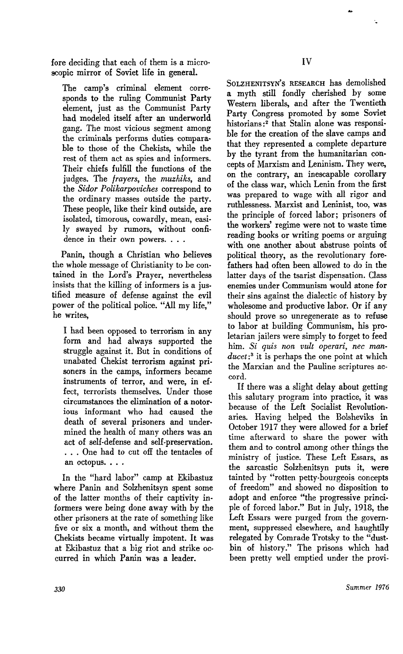fore deciding that each of them is a microscopic mirror of Soviet life in general.

The camp's criminal element corresponds to the ruling Communist Party element, just as the Communist Party had modeled itself after an underworld gang. The most vicious segment among the criminals performs duties comparable to those of the Chekists, while the rest of them act as spies and informers. Their chiefs fulfill the functions of the judges. The *frayers,* the *muzhiks,* and the *Sidor Polikarpoviches* correspond to the ordinary masses outside the party. These people, like their kind outside, are isolated, timorous, cowardly, mean, easily swayed by rumors, without confidence in their own powers. . . .

Panin, though a Christian who believes the whole message of Christianity to be contained in the Lord's Prayer, nevertheless insists that the killing of informers is a jus· tified measure of defense against the evil power of the political police. "All my life," he writes,

I had been opposed to terrorism in any form and had always supported the struggle against it. But in conditions of unabated Chekist terrorism against prisoners in the camps, informers became instruments of terror, and were, in ef· fect, terrorists themselves. Under those circumstances the elimination of a notor· ious informant who had caused the death of several prisoners and under· mined the health of many others was an act of self-defense and self-preservation. . . . One had to cut off the tentacles of an octopus...

In the "hard labor" camp at Ekibastuz where Panin and Solzhenitsyn spent some of the latter months of their captivity in· formers were being done away with by the other prisoners at the rate of something like five or six a month, and without them the Chekists became virtually impotent. It was at Ekibastuz that a big riot and strike occurred in which Panin was a leader.

SoLZHENITSYN's RESEARCH has demolished a myth still fondly cherished by some Western liberals, and after the Twentieth Party Congress promoted by some Soviet historians:<sup>2</sup> that Stalin alone was responsible for the creation of the slave camps and that they represented a complete departure by the tyrant from the humanitarian concepts of Marxism and Leninism. They were, on the contrary, an inescapable corollary of the class war, which Lenin from the first was prepared to wage with all rigor and ruthlessness. Marxist and Leninist, too, was the principle of forced labor; prisoners of the workers' regime were not to waste time reading books or writing poems or arguing with one another about abstruse points of political theory, as the revolutionary forefathers had often been allowed to do in the latter days of the tsarist dispensation. Class enemies under Communism would atone for their sins against the dialectic of history by wholesome and productive labor. Or if any should prove so unregenerate as to refuse to labor at building Communism, his pro· letarian jailers were simply to forget to feed him. *Si quis non vult operari, nee man· ducet: <sup>3</sup>*it is perhaps the one point at which the Marxian and the Pauline scriptures accord.

If there was a slight delay about getting this salutary program into practice, it was because of the Left Socialist Revolutionaries. Having helped the Bolsheviks in October 1917 they were allowed for a brief time afterward to share the power with them and to control among other things the ministry of justice. These Left Essars, as the sarcastic Solzhenitsyn puts it, were tainted by "rotten petty-bourgeois concepts of freedom" and showed no disposition to adopt and enforce "the progressive principle of forced labor." But in July, 1918, the Left Essars were purged from the govern· ment, suppressed elsewhere, and haughtily relegated by Comrade Trotsky to the "dust· bin of history." The prisons which had been pretty well emptied under the provi-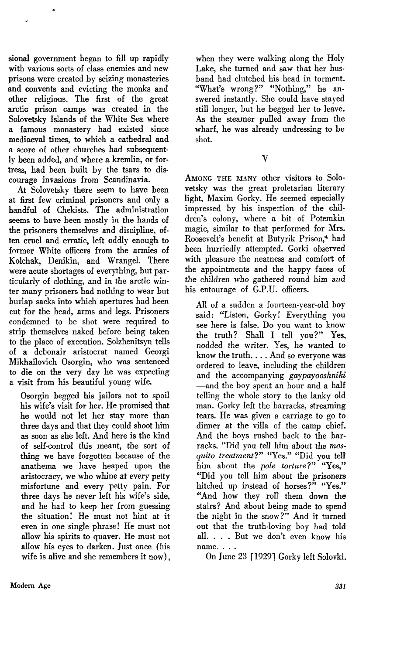sional government began to fill up rapidly with various sorts of class enemies and new prisons were created by seizing monasteries and convents and evicting the monks and other religious. The first of the great arctic prison camps was created in the Solovetsky Islands of the White Sea where a famous monastery had existed since mediaeval times, to which a cathedral and a score of other churches had subsequently been added, and where a kremlin, or fortress, had been built by the tsars to discourage invasions from Scandinavia.

At Solovetsky there seem to have been at first few criminal prisoners and only a handful of Chekists. The administration seems to have been mostly in the hands of the prisoners themselves and discipline, often cruel and erratic, left oddly enough to former White officers from the armies of Kolchak, Denikin, and Wrangel. There were acute shortages of everything, hut particularly of clothing, and in the arctic winter many prisoners had nothing to wear hut burlap sacks into which apertures had been cut for the head, arms and legs. Prisoners condemned to be shot were required to strip themselves naked before being taken to the place of execution. Solzhenitsyn tells of a debonair aristocrat named Georgi Mikhailovich Osorgin, who was sentenced to die on the very day he was expecting a visit from his beautiful young wife.

Osorgin begged his jailors not to spoil his wife's visit for her. He promised that he would not let her stay more than three days and that they could shoot him as soon as she left. And here is the kind of self-control this meant, the sort of thing we have forgotten because of the anathema we have heaped upon the aristocracy, we who whine at every petty misfortune and every petty pain. For three days he never left his wife's side, and he had to keep her from guessing the situation! He must not hint at it even in one single phrase! He must not allow his spirits to quaver. He must not allow his eyes to darken. Just once (his wife is alive and she remembers it now),

when they were walking along the Holy Lake, she turned and saw that her husband had clutched his head in torment. "What's wrong?" "Nothing," he answered instantly. She could have stayed still longer, hut he begged her to leave. As the steamer pulled away from the wharf, he was already undressing to he shot.

v

AMoNG THE MANY other visitors to Solovetsky was the great proletarian literary light, Maxim Gorky. He seemed especially impressed by his inspection of the children's colony, where a bit of Potemkin magic, similar to that performed for Mrs. Roosevelt's benefit at Butyrik Prison," had been hurriedly attempted. Gorki observed with pleasure the neatness and comfort of the appointments and the happy faces of the children who gathered round him and his entourage of G.P.U. officers.

All of a sudden a fourteen-year-old hoy said: "Listen, Gorky! Everything you see here is false. Do you want to know the truth? Shall I tell you?" Yes, nodded the writer. Yes, he wanted to know the truth.... And so everyone was ordered to leave, including the children and the accompanying *gaypayooshniki*  -and the boy spent an hour and a half telling the whole story to the lanky old man. Gorky left the barracks, streaming tears. He was given a carriage to go to dinner at the villa of the camp chief. And the boys rushed hack to the barracks. "Did you tell him about the *mosquito treatment?"* "Yes." "Did you tell him about the *pole torture?"* "Yes,'' "Did you tell him about the prisoners hitched up instead of horses?" "Yes." "And how they roll them down the stairs? And about being made to spend the night in the snow?" And it turned out that the truth-loving hoy had told all. . . . But we don't even know his  $name. . .$ 

On June 23 [1929] Gorky left Solovki.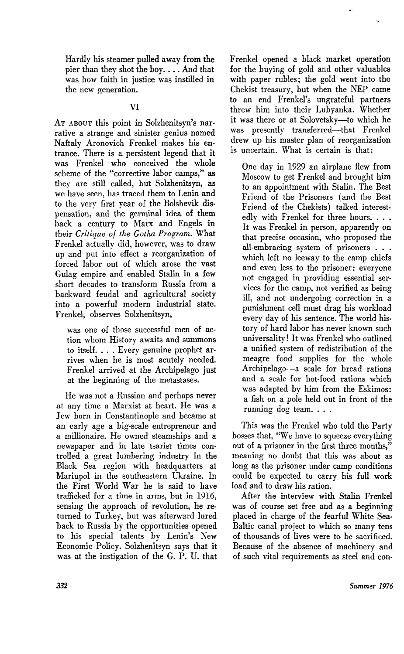Hardly his steamer pulled away from the pier than they shot the boy.... And that was how faith in justice was instilled in the new generation.

VI

AT ABOUT this point in Solzhenitsyn's narrative a strange and sinister genius named Naftaly Aronovich Frenkel makes his entrance. There is a persistent legend that it was Frenkel who conceived the whole scheme of the "corrective labor camps," as they are still called, hut Solzhenitsyn, as we have seen, has traced them to Lenin and to the very first year of the Bolshevik dispensation, and the germinal idea of them hack a century to Marx and Engels in their *Critique of the Gotha Program.* What Frenkel actually did, however, was to draw up and put into effect a reorganization of forced labor out of which arose the vast Gulag empire and enabled Stalin in a few short decades to transform Russia from a backward feudal and agricultural society into a powerful modern industrial state. Frenkel, observes Solzhenitsyn,

was one of those successful men of action whom History awaits and summons to itself. . . . Every genuine prophet arrives when he is most acutely needed. Frenkel arrived at the Archipelago just at the beginning of the metastases.

He was not a Russian and perhaps never at any time a Marxist at heart. He was a Jew horn in Constantinople and became at an early age a big-scale entrepreneur and a millionaire. He owned steamships and a newspaper and in late tsarist times controlled a great lumbering industry in the Black Sea region with headquarters at Mariupol in the southeastern Ukraine. In the First World War he is said to have trafficked for a time in arms, but in 1916, sensing the approach of revolution, he returned to Turkey, hut was afterward lured back to Russia by the opportunities opened to his special talents by Lenin's New Economic Policy. Solzhenitsyn says that it was at the instigation of the G. P. U. that Frenkel opened a black market operation for the buying of gold and other valuables with paper rubles; the gold went into the Chekist treasury, hut when the NEP came to an end Frenkel's ungrateful partners threw him into their Lubyanka. Whether it was there or at Solovetsky-to which he was presently transferred-that Frenkel drew up his master plan of reorganization is uncertain. What is certain is that:

·.

One day in 1929 an airplane flew from Moscow to get Frenkel and brought him to an appointment with Stalin. The Best Friend of the Prisoners (and the Best Friend of the Chekists) talked interestedly with Frenkel for three hours.... It was Frenkel in person, apparently on that precise occasion, who proposed the all-embracing system of prisoners . . . which left no leeway to the camp chiefs and even less to the prisoner: everyone not engaged in providing essential services for the camp, not verified as being ill, and not undergoing correction in a punishment cell must drag his workload every day of his sentence. The world history of hard labor has never known such universality! It was Frenkel who outlined a unified system of redistribution of the meagre food supplies for the whole Archipelago--a scale for bread rations and a scale for hot-food rations which was adapted by him from the Eskimos: a fish on a pole held out in front of the running dog team. . . .

This was the Frenkel who told the Party bosses that, "We have to squeeze everything out of a prisoner in the first three months," meaning no doubt that this was about as long as the prisoner under camp conditions could be expected to carry his full work load and to draw his ration.

After the interview with Stalin Frenkel was of course set free and as a beginning placed in charge of the fearful White Sea-Baltic canal project to which so many tens of thousands of lives were to be sacrificed. Because of the absence of machinery and of such vital requirements as steel and con-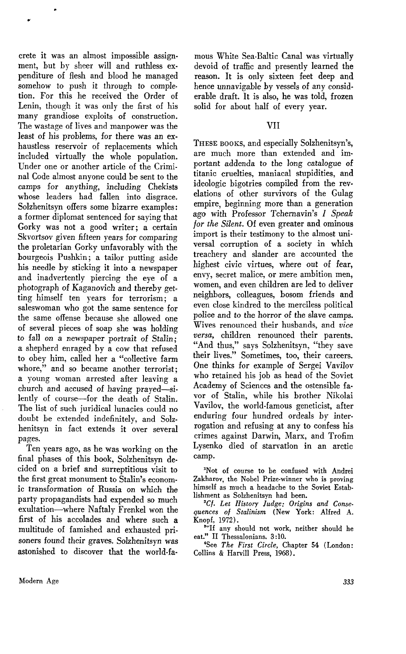crete it was an almost impossible assignment, but by sheer will and ruthless expenditure of flesh and blood he managed somehow to push it through to completion. For this he received the Order of Lenin, though it was only the first of his many grandiose exploits of construction. The wastage of lives and manpower was the least of his problems, for there was an exhaustless reservoir of replacements which included virtually the whole population. Under one or another article of the Criminal Code almost anyone could be sent to the camps for anything, including Chekists whose leaders had fallen into disgrace. Solzhenitsyn offers some bizarre examples: a former diplomat sentenced for saying that Gorky was not a good writer; a certain Skvortsov given fifteen years for comparing the proletarian Gorky unfavorably with the bourgeois Pushkin; a tailor putting aside his needle by sticking it into a newspaper and inadvertently piercing the eye of a photograph of Kaganovich and thereby getting himself ten years for terrorism; a saleswoman who got the same sentence for the same offense because she allowed one of several pieces of soap she was holding to fall on a newspaper portrait of Stalin; a shepherd enraged by a cow that refused to obey him, called her a "collective farm<br>whore," and so became another terrorist; a young woman arrested after leaving a church and accused of having prayed-silently of course-for the death of Stalin. The list of such juridical lunacies could no doubt be extended indefinitely, and Solzhenitsyn in fact extends it over several pages.

Ten years ago, as he was working on the final phases of this book, Solzhenitsyn decided on a brief and surreptitious visit to the first great monument to Stalin's economic transformation of Russia *on* which the party propagandists had expended so much exultation-where Naftaly Frenkel won the first of his accolades and where such a multitude of famished and exhausted prisoners found their graves. Solzhenitsyn was astonished to discover that the world-famous White Sea-Baltic Canal was virtually devoid of traffic and presently learned the reason. It is only sixteen feet deep and hence unnavigable by vessels of any considerable draft. It is also, he was told, frozen solid for about half of every year.

### VII

THESE BOOKS, and especially Solzhenitsyn's, are much more than extended and important addenda to the long catalogue of titanic cruelties, maniacal stupidities, and ideologic bigotries compiled from the revelations of other survivors of the Gulag empire, beginning more than a generation ago with Professor Tchemavin's *I Speak for the Silent.* Of even greater and ominous import is their testimony to the almost universal corruption of a society in which treachery and slander are accounted the highest civic virtues, where *out* of fear, envy, secret malice, or mere ambition men, women, and even children are led to deliver neighbors, colleagues, bosom friends and even close kindred to the merciless political police and to the horror of the slave camps. Wives renounced their husbands, and *vice versa,* children renounced their parents. "And thus," says Solzhenitsyn, "they save their lives." Sometimes, too, their careers. One thinks for example of Sergei Vavilov who retained his job as head of the Soviet Academy of Sciences and the ostensible favor of Stalin, while his brother Nikolai Vavilov, the world-famous geneticist, after enduring four hundred ordeals by interrogation and refusing at any to confess his crimes against Darwin, Marx, and Trofim Lysenko died of starvation in an arctic camp.

'Not of course to be confused with Andrei Zakharov, the Nobel Prize-winner who is proving himself as much a headache to the Soviet Establishment as Solzhenitsyn had been.

*•ct. Let History Judge: Origins and Consequences of Stalinism* (New York: Alfred A. Knopf, 1972).

'"If any should not work, neither should he eat." II Thessalonians. 3:10.

'See *The First Circle,* Chapter 54 (London: Collins & Harvill Press, 1968).